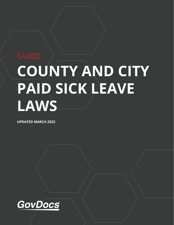# **COUNTY AND CITY PAID SICK LEAVE LAWS**

**UPDATED MARCH 2022**

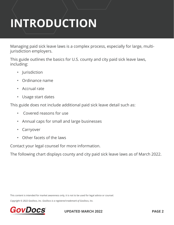# **INTRODUCTION**

Managing paid sick leave laws is a complex process, especially for large, multijurisdiction employers.

This guide outlines the basics for U.S. county and city paid sick leave laws, including:

- Jurisdiction
- Ordinance name
- Accrual rate
- Usage start dates

This guide does not include additional paid sick leave detail such as:

- Covered reasons for use
- Annual caps for small and large businesses
- Carryover
- Other facets of the laws

Contact your legal counsel for more information.

The following chart displays county and city paid sick leave laws as of March 2022.

This content is intended for market awareness only, it is not to be used for legal advice or counsel.

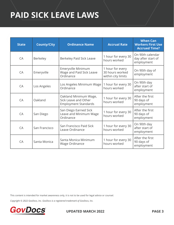## **PAID SICK LEAVE LAWS**

| <b>State</b> | <b>County/City</b> | <b>Ordinance Name</b>                                                        | <b>Accrual Rate</b>                                       | <b>When Can</b><br><b>Workers First Use</b><br><b>Accrued Time?</b> |
|--------------|--------------------|------------------------------------------------------------------------------|-----------------------------------------------------------|---------------------------------------------------------------------|
| CA           | Berkeley           | Berkeley Paid Sick Leave                                                     | 1 hour for every 30<br>hours worked                       | On 90th calendar<br>day after start of<br>employment                |
| CA           | Emeryville         | Emeryville Minimum<br>Wage and Paid Sick Leave<br>Ordinance                  | 1 hour for every<br>30 hours worked<br>within city limits | On 90th day of<br>employment                                        |
| CA           | Los Angeles        | Los Angeles Minimum Wage<br>Ordinance                                        | 1 hour for every 30<br>hours worked                       | On 90th day<br>after start of<br>employment                         |
| CA           | Oakland            | Oakland Minimum Wage,<br>Sick Leave and Other<br><b>Employment Standards</b> | 1 hour for every 30<br>hours worked                       | After the first<br>90 days of<br>employment                         |
| CA           | San Diego          | San Diego Earned Sick<br>Leave and Minimum Wage<br>Ordinance                 | 1 hour for every 30<br>hours worked                       | After the first<br>90 days of<br>employment                         |
| CA           | San Francisco      | San Francisco Paid Sick<br>Leave Ordinance                                   | 1 hour for every 30<br>hours worked                       | On 90th day<br>after start of<br>employment                         |
| CA           | Santa Monica       | Santa Monica Minimum<br>Wage Ordinance                                       | 1 hour for every 30<br>hours worked                       | After the first<br>90 days of<br>employment                         |

This content is intended for market awareness only, it is not to be used for legal advice or counsel.

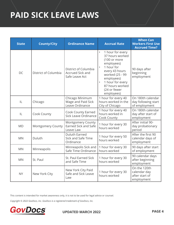## **PAID SICK LEAVE LAWS**

| <b>State</b> | <b>County/City</b>   | <b>Ordinance Name</b>                                             | <b>Accrual Rate</b>                                                                                                                                                                                                                            | <b>When Can</b><br><b>Workers First Use</b><br><b>Accrued Time?</b> |
|--------------|----------------------|-------------------------------------------------------------------|------------------------------------------------------------------------------------------------------------------------------------------------------------------------------------------------------------------------------------------------|---------------------------------------------------------------------|
| DC           | District of Columbia | District of Columbia<br><b>Accrued Sick and</b><br>Safe Leave Act | $\bullet$<br>1 hour for every<br>37 hours worked<br>(100 or more<br>employees)<br>1 hour for<br>$\bullet$<br>every 43 hours<br>worked (25 - 99<br>employees)<br>1 hour for every<br>$\bullet$<br>87 hours worked<br>(24 or fewer<br>employees) | 90 days after<br>beginning<br>employment                            |
| IL           | Chicago              | Chicago Minimum<br>Wage and Paid Sick<br>Leave Ordinance          | 1 hour for every 40<br>hours worked in the<br>City of Chicago                                                                                                                                                                                  | On 180th calendar<br>day following start<br>of employment           |
| IL           | Cook County          | <b>Cook County Earned</b><br>Sick Leave Ordinance                 | 1 hour for every 40<br>hours worked in<br>Cook County                                                                                                                                                                                          | On 180th calendar<br>day after start of<br>employment               |
| <b>MD</b>    | Montgomery County    | Montgomery County<br>Earned Sick and Safe<br>Leave Law            | 1 hour for every 30<br>hours worked                                                                                                                                                                                                            | After initial 90-<br>day probationary<br>period                     |
| <b>MN</b>    | Duluth               | <b>Duluth Earned</b><br>Sick and Safe Time<br>Ordinance           | 1 hour for every 50<br>hours worked                                                                                                                                                                                                            | After the first 90<br>calendar days of<br>employment                |
| <b>MN</b>    | Minneapolis          | Minneapolis Sick and<br>Safe Time Ordinance                       | 1 hour for every 30<br>hours worked                                                                                                                                                                                                            | 90 days after start<br>of employment                                |
| <b>MN</b>    | St. Paul             | St. Paul Earned Sick<br>and Safe Time                             | 1 hour for every 30<br>hours worked                                                                                                                                                                                                            | 90 calendar days<br>after beginning<br>employment                   |
| <b>NY</b>    | New York City        | New York City Paid<br>Safe and Sick Leave<br>Law                  | 1 hour for every 30<br>hours worked                                                                                                                                                                                                            | On the 120th<br>calendar day<br>after start of<br>employment        |

This content is intended for market awareness only, it is not to be used for legal advice or counsel.

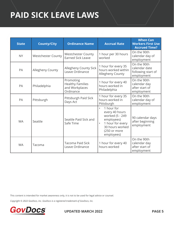## **PAID SICK LEAVE LAWS**

| <b>State</b> | <b>County/City</b>        | <b>Ordinance Name</b>                                               | <b>Accrual Rate</b>                                                                                                                                          | <b>When Can</b><br><b>Workers First Use</b><br><b>Accrued Time?</b> |
|--------------|---------------------------|---------------------------------------------------------------------|--------------------------------------------------------------------------------------------------------------------------------------------------------------|---------------------------------------------------------------------|
| <b>NY</b>    | <b>Westchester County</b> | <b>Westchester County</b><br><b>Earned Sick Leave</b>               | 1 hour per 30 hours<br>worked                                                                                                                                | On the 90th<br>calendar day of<br>employment                        |
| PA           | Allegheny County          | Allegheny County Sick<br>Leave Ordinance                            | 1 hour for every 35<br>hours worked within<br>Allegheny County                                                                                               | On the 90th<br>calendar date<br>following start of<br>employment    |
| PA           | Philadelphia              | Promoting<br><b>Healthy Families</b><br>and Workplaces<br>Ordinance | 1 hour for every 40<br>hours worked in<br>Philadelphia                                                                                                       | On the 90th<br>calendar day<br>after start of<br>employment         |
| PA           | Pittsburgh                | Pittsburgh Paid Sick<br>Days Act                                    | 1 hour for every 35<br>hours worked in<br>Pittsburgh                                                                                                         | On the 90th<br>calendar day of<br>employment                        |
| <b>WA</b>    | Seattle                   | Seattle Paid Sick and<br>Safe Time                                  | 1 hour for<br>$\bullet$<br>every 40 hours<br>worked (5 - 249<br>employees)<br>1 hour for every<br>$\bullet$<br>30 hours worked<br>(250 or more<br>employees) | 90 calendar days<br>after beginning<br>employment                   |
| <b>WA</b>    | Tacoma                    | <b>Tacoma Paid Sick</b><br>Leave Ordinance                          | 1 hour for every 40<br>hours worked                                                                                                                          | On the 90th<br>calendar day<br>after start of<br>employment         |

This content is intended for market awareness only, it is not to be used for legal advice or counsel.